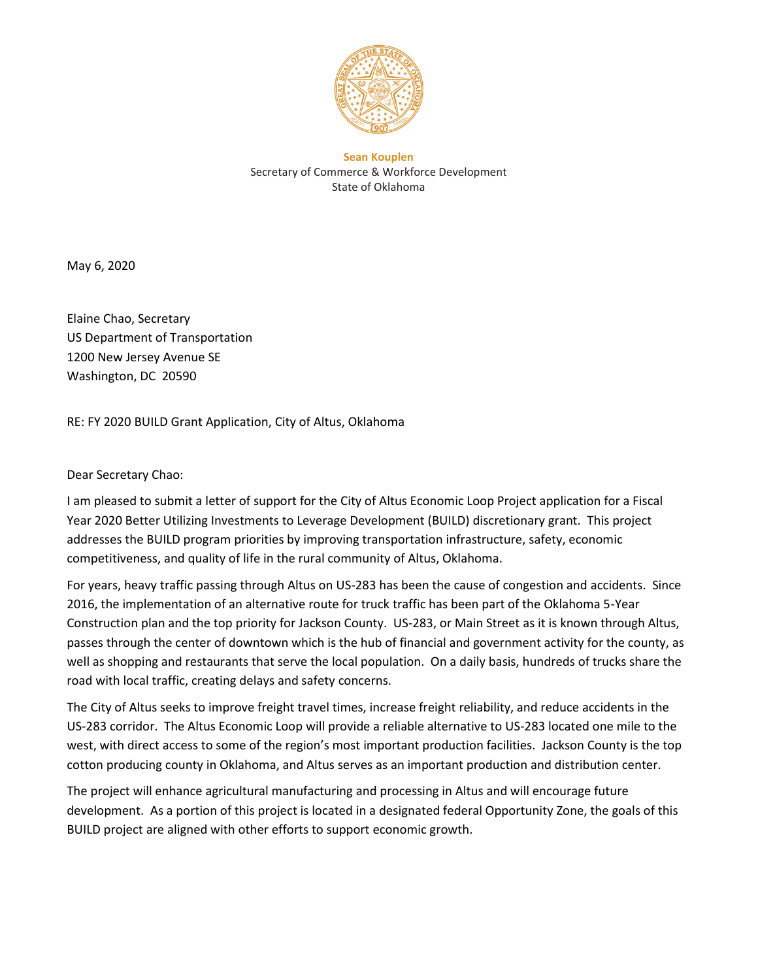

**Sean Kouplen** Secretary of Commerce & Workforce Development State of Oklahoma

May 6, 2020

Elaine Chao, Secretary US Department of Transportation 1200 New Jersey Avenue SE Washington, DC 20590

RE: FY 2020 BUILD Grant Application, City of Altus, Oklahoma

Dear Secretary Chao:

I am pleased to submit a letter of support for the City of Altus Economic Loop Project application for a Fiscal Year 2020 Better Utilizing Investments to Leverage Development (BUILD) discretionary grant. This project addresses the BUILD program priorities by improving transportation infrastructure, safety, economic competitiveness, and quality of life in the rural community of Altus, Oklahoma.

For years, heavy traffic passing through Altus on US-283 has been the cause of congestion and accidents. Since 2016, the implementation of an alternative route for truck traffic has been part of the Oklahoma 5-Year Construction plan and the top priority for Jackson County. US-283, or Main Street as it is known through Altus, passes through the center of downtown which is the hub of financial and government activity for the county, as well as shopping and restaurants that serve the local population. On a daily basis, hundreds of trucks share the road with local traffic, creating delays and safety concerns.

The City of Altus seeks to improve freight travel times, increase freight reliability, and reduce accidents in the US-283 corridor. The Altus Economic Loop will provide a reliable alternative to US-283 located one mile to the west, with direct access to some of the region's most important production facilities. Jackson County is the top cotton producing county in Oklahoma, and Altus serves as an important production and distribution center.

The project will enhance agricultural manufacturing and processing in Altus and will encourage future development. As a portion of this project is located in a designated federal Opportunity Zone, the goals of this BUILD project are aligned with other efforts to support economic growth.